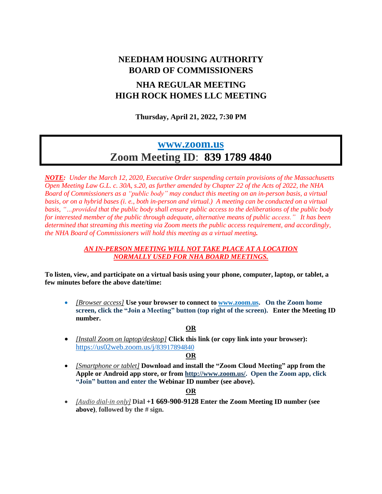# **NEEDHAM HOUSING AUTHORITY BOARD OF COMMISSIONERS**

## **NHA REGULAR MEETING HIGH ROCK HOMES LLC MEETING**

**Thursday, April 21, 2022, 7:30 PM**

## **[www.zoom.us](http://www.zoom.us/) Zoom Meeting ID**: **839 1789 4840**

*NOTE: Under the March 12, 2020, Executive Order suspending certain provisions of the Massachusetts* Open Meeting Law G.L. c. 30A, s.20, as further amended by Chapter 22 of the Acts of 2022, the NHA *Board of Commissioners as a "public body" may conduct this meeting on an in-person basis, a virtual* basis, or on a hybrid bases (i. e., both in-person and virtual.) A meeting can be conducted on a virtual *basis, "…provided that the public body shall ensure public access to the deliberations of the public body for interested member of the public through adequate, alternative means of public access." It has been determined that streaming this meeting via Zoom meets the public access requirement, and accordingly, the NHA Board of Commissioners will hold this meeting as a virtual meeting.*

#### *AN IN-PERSON MEETING WILL NOT TAKE PLACE AT A LOCATION NORMALLY USED FOR NHA BOARD MEETINGS.*

**To listen, view, and participate on a virtual basis using your phone, computer, laptop, or tablet, a few minutes before the above date/time:**

• *[Browser access]* **Use your browser to connect to [www.zoom.us.](http://www.zoom.us/) On the Zoom home screen, click the "Join a Meeting" button (top right of the screen). Enter the Meeting ID number.**

#### **OR**

• *[Install Zoom on laptop/desktop]* **Click this link (or copy link into your browser):**  [https://us02web.zoom.us/j/](https://us02web.zoom.us/j/5)83917894840

#### **OR**

• *[Smartphone or tablet]* **Download and install the "Zoom Cloud Meeting" app from the Apple or Android app store, or from [http://www.zoom.us/.](http://www.zoom.us/) Open the Zoom app, click "Join" button and enter the Webinar ID number (see above).**

#### **OR**

• *[Audio dial-in only]* **Dial +1 669-900-9128 Enter the Zoom Meeting ID number (see above)**, **followed by the # sign.**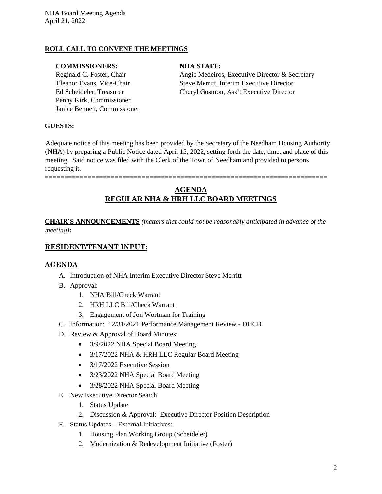#### **ROLL CALL TO CONVENE THE MEETINGS**

#### **COMMISSIONERS: NHA STAFF:**

Penny Kirk, Commissioner Janice Bennett, Commissioner

Reginald C. Foster, Chair **Angie Medeiros, Executive Director & Secretary** Eleanor Evans, Vice-Chair Steve Merritt, Interim Executive Director Ed Scheideler, Treasurer Cheryl Gosmon, Ass't Executive Director

#### **GUESTS:**

Adequate notice of this meeting has been provided by the Secretary of the Needham Housing Authority (NHA) by preparing a Public Notice dated April 15, 2022, setting forth the date, time, and place of this meeting. Said notice was filed with the Clerk of the Town of Needham and provided to persons requesting it.

=========================================================================

### **AGENDA REGULAR NHA & HRH LLC BOARD MEETINGS**

**CHAIR'S ANNOUNCEMENTS** *(matters that could not be reasonably anticipated in advance of the meeting)***:**

#### **RESIDENT/TENANT INPUT:**

#### **AGENDA**

- A. Introduction of NHA Interim Executive Director Steve Merritt
- B. Approval:
	- 1. NHA Bill/Check Warrant
	- 2. HRH LLC Bill/Check Warrant
	- 3. Engagement of Jon Wortman for Training
- C. Information: 12/31/2021 Performance Management Review DHCD
- D. Review & Approval of Board Minutes:
	- 3/9/2022 NHA Special Board Meeting
	- 3/17/2022 NHA & HRH LLC Regular Board Meeting
	- 3/17/2022 Executive Session
	- 3/23/2022 NHA Special Board Meeting
	- 3/28/2022 NHA Special Board Meeting
- E. New Executive Director Search
	- 1. Status Update
	- 2. Discussion & Approval: Executive Director Position Description
- F. Status Updates External Initiatives:
	- 1. Housing Plan Working Group (Scheideler)
	- 2. Modernization & Redevelopment Initiative (Foster)